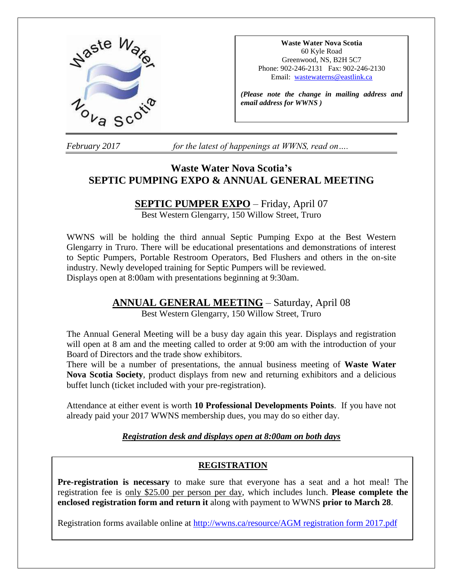

**Waste Water Nova Scotia** 60 Kyle Road Greenwood, NS, B2H 5C7 Phone: 902-246-2131 Fax: 902-246-2130 Email: [wastewaterns@eastlink.ca](mailto:wastewaterns@eastlink.ca)

*(Please note the change in mailing address and email address for WWNS )*

*February 2017 for the latest of happenings at WWNS, read on….*

# **Waste Water Nova Scotia's SEPTIC PUMPING EXPO & ANNUAL GENERAL MEETING**

# **SEPTIC PUMPER EXPO** – Friday, April 07

Best Western Glengarry, 150 Willow Street, Truro

WWNS will be holding the third annual Septic Pumping Expo at the Best Western Glengarry in Truro. There will be educational presentations and demonstrations of interest to Septic Pumpers, Portable Restroom Operators, Bed Flushers and others in the on-site industry. Newly developed training for Septic Pumpers will be reviewed. Displays open at 8:00am with presentations beginning at 9:30am.

# **ANNUAL GENERAL MEETING** – Saturday, April 08

Best Western Glengarry, 150 Willow Street, Truro

The Annual General Meeting will be a busy day again this year. Displays and registration will open at 8 am and the meeting called to order at 9:00 am with the introduction of your Board of Directors and the trade show exhibitors.

There will be a number of presentations, the annual business meeting of **Waste Water Nova Scotia Society**, product displays from new and returning exhibitors and a delicious buffet lunch (ticket included with your pre-registration).

Attendance at either event is worth **10 Professional Developments Points**. If you have not already paid your 2017 WWNS membership dues, you may do so either day.

## *Registration desk and displays open at 8:00am on both days*

# **REGISTRATION**

**Pre-registration is necessary** to make sure that everyone has a seat and a hot meal! The registration fee is only \$25.00 per person per day, which includes lunch. **Please complete the enclosed registration form and return it** along with payment to WWNS **prior to March 28**.

Registration forms available online at [http://wwns.ca/resource/AGM registration form 2017.pdf](http://wwns.ca/resource/AGM%20registration%20form%202017.pdf)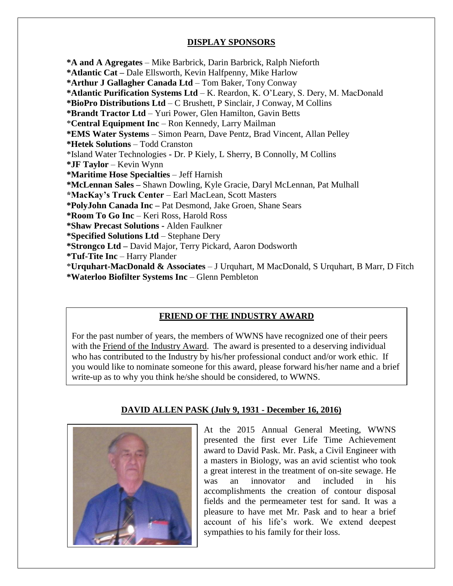# **DISPLAY SPONSORS**

**\*A and A Agregates** – Mike Barbrick, Darin Barbrick, Ralph Nieforth **\*Atlantic Cat –** Dale Ellsworth, Kevin Halfpenny, Mike Harlow **\*Arthur J Gallagher Canada Ltd** – Tom Baker, Tony Conway **\*Atlantic Purification Systems Ltd** – K. Reardon, K. O'Leary, S. Dery, M. MacDonald **\*BioPro Distributions Ltd** – C Brushett, P Sinclair, J Conway, M Collins **\*Brandt Tractor Ltd** – Yuri Power, Glen Hamilton, Gavin Betts \***Central Equipment Inc** – Ron Kennedy, Larry Mailman **\*EMS Water Systems** – Simon Pearn, Dave Pentz, Brad Vincent, Allan Pelley **\*Hetek Solutions** – Todd Cranston \*Island Water Technologies **-** Dr. P Kiely, L Sherry, B Connolly, M Collins **\*JF Taylor** – Kevin Wynn **\*Maritime Hose Specialties** – Jeff Harnish **\*McLennan Sales –** Shawn Dowling, Kyle Gracie, Daryl McLennan, Pat Mulhall **\*MacKay's Truck Center** – Earl MacLean, Scott Masters **\*PolyJohn Canada Inc –** Pat Desmond, Jake Groen, Shane Sears **\*Room To Go Inc** – Keri Ross, Harold Ross **\*Shaw Precast Solutions -** Alden Faulkner **\*Specified Solutions Ltd** – Stephane Dery **\*Strongco Ltd –** David Major, Terry Pickard, Aaron Dodsworth **\*Tuf-Tite Inc** – Harry Plander \***Urquhart-MacDonald & Associates** – J Urquhart, M MacDonald, S Urquhart, B Marr, D Fitch **\*Waterloo Biofilter Systems Inc** – Glenn Pembleton

# **FRIEND OF THE INDUSTRY AWARD**

For the past number of years, the members of WWNS have recognized one of their peers with the Friend of the Industry Award. The award is presented to a deserving individual who has contributed to the Industry by his/her professional conduct and/or work ethic. If you would like to nominate someone for this award, please forward his/her name and a brief write-up as to why you think he/she should be considered, to WWNS.



## **DAVID ALLEN PASK (July 9, 1931 - December 16, 2016)**

At the 2015 Annual General Meeting, WWNS presented the first ever Life Time Achievement award to David Pask. Mr. Pask, a Civil Engineer with a masters in Biology, was an avid scientist who took a great interest in the treatment of on-site sewage. He was an innovator and included in his accomplishments the creation of contour disposal fields and the permeameter test for sand. It was a pleasure to have met Mr. Pask and to hear a brief account of his life's work. We extend deepest sympathies to his family for their loss.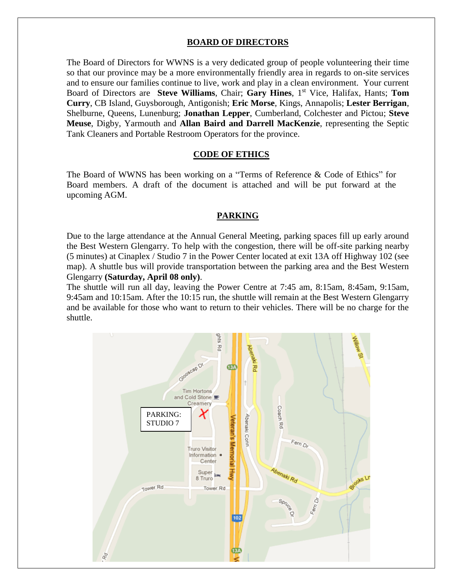### **BOARD OF DIRECTORS**

The Board of Directors for WWNS is a very dedicated group of people volunteering their time so that our province may be a more environmentally friendly area in regards to on-site services and to ensure our families continue to live, work and play in a clean environment. Your current Board of Directors are **Steve Williams**, Chair; **Gary Hines**, 1<sup>st</sup> Vice, Halifax, Hants; **Tom Curry**, CB Island, Guysborough, Antigonish; **Eric Morse**, Kings, Annapolis; **Lester Berrigan**, Shelburne, Queens, Lunenburg; **Jonathan Lepper**, Cumberland, Colchester and Pictou; **Steve Meuse**, Digby, Yarmouth and **Allan Baird and Darrell MacKenzie**, representing the Septic Tank Cleaners and Portable Restroom Operators for the province.

#### **CODE OF ETHICS**

The Board of WWNS has been working on a "Terms of Reference & Code of Ethics" for Board members. A draft of the document is attached and will be put forward at the upcoming AGM.

#### **PARKING**

Due to the large attendance at the Annual General Meeting, parking spaces fill up early around the Best Western Glengarry. To help with the congestion, there will be off-site parking nearby (5 minutes) at Cinaplex / Studio 7 in the Power Center located at exit 13A off Highway 102 (see map). A shuttle bus will provide transportation between the parking area and the Best Western Glengarry **(Saturday, April 08 only)**.

The shuttle will run all day, leaving the Power Centre at 7:45 am, 8:15am, 8:45am, 9:15am, 9:45am and 10:15am. After the 10:15 run, the shuttle will remain at the Best Western Glengarry and be available for those who want to return to their vehicles. There will be no charge for the shuttle.

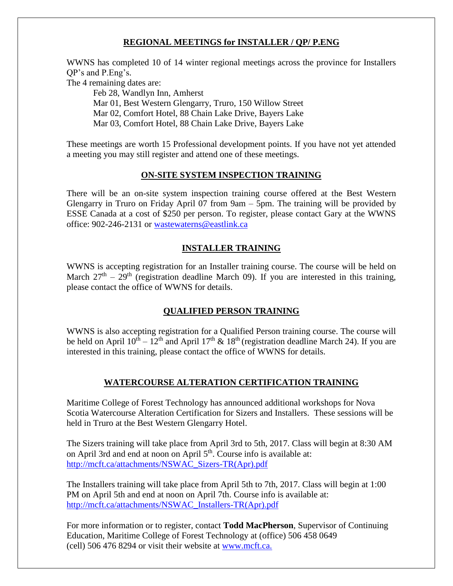# **REGIONAL MEETINGS for INSTALLER / QP/ P.ENG**

WWNS has completed 10 of 14 winter regional meetings across the province for Installers QP's and P.Eng's.

The 4 remaining dates are:

Feb 28, Wandlyn Inn, Amherst Mar 01, Best Western Glengarry, Truro, 150 Willow Street Mar 02, Comfort Hotel, 88 Chain Lake Drive, Bayers Lake Mar 03, Comfort Hotel, 88 Chain Lake Drive, Bayers Lake

These meetings are worth 15 Professional development points. If you have not yet attended a meeting you may still register and attend one of these meetings.

#### **ON-SITE SYSTEM INSPECTION TRAINING**

There will be an on-site system inspection training course offered at the Best Western Glengarry in Truro on Friday April 07 from 9am – 5pm. The training will be provided by ESSE Canada at a cost of \$250 per person. To register, please contact Gary at the WWNS office: 902-246-2131 or [wastewaterns@eastlink.ca](mailto:wastewaterns@eastlink.ca)

#### **INSTALLER TRAINING**

WWNS is accepting registration for an Installer training course. The course will be held on March  $27<sup>th</sup> - 29<sup>th</sup>$  (registration deadline March 09). If you are interested in this training, please contact the office of WWNS for details.

## **QUALIFIED PERSON TRAINING**

WWNS is also accepting registration for a Qualified Person training course. The course will be held on April  $10^{th} - 12^{th}$  and April  $17^{th}$  &  $18^{th}$  (registration deadline March 24). If you are interested in this training, please contact the office of WWNS for details.

## **WATERCOURSE ALTERATION CERTIFICATION TRAINING**

Maritime College of Forest Technology has announced additional workshops for Nova Scotia Watercourse Alteration Certification for Sizers and Installers. These sessions will be held in Truro at the Best Western Glengarry Hotel.

The Sizers training will take place from April 3rd to 5th, 2017. Class will begin at 8:30 AM on April 3rd and end at noon on April  $5<sup>th</sup>$ . Course info is available at: [http://mcft.ca/attachments/NSWAC\\_Sizers-TR\(Apr\).pdf](http://mcft.ca/attachments/NSWAC_Sizers-TR(Apr).pdf)

The Installers training will take place from April 5th to 7th, 2017. Class will begin at 1:00 PM on April 5th and end at noon on April 7th. Course info is available at: [http://mcft.ca/attachments/NSWAC\\_Installers-TR\(Apr\).pdf](http://mcft.ca/attachments/NSWAC_Installers-TR(Apr).pdf)

For more information or to register, contact **Todd MacPherson**, Supervisor of Continuing Education, Maritime College of Forest Technology at (office) 506 458 0649 (cell) 506 476 8294 or visit their website at [www.mcft.ca.](http://mcft.ca/en/continuing-education/upcoming-courses)